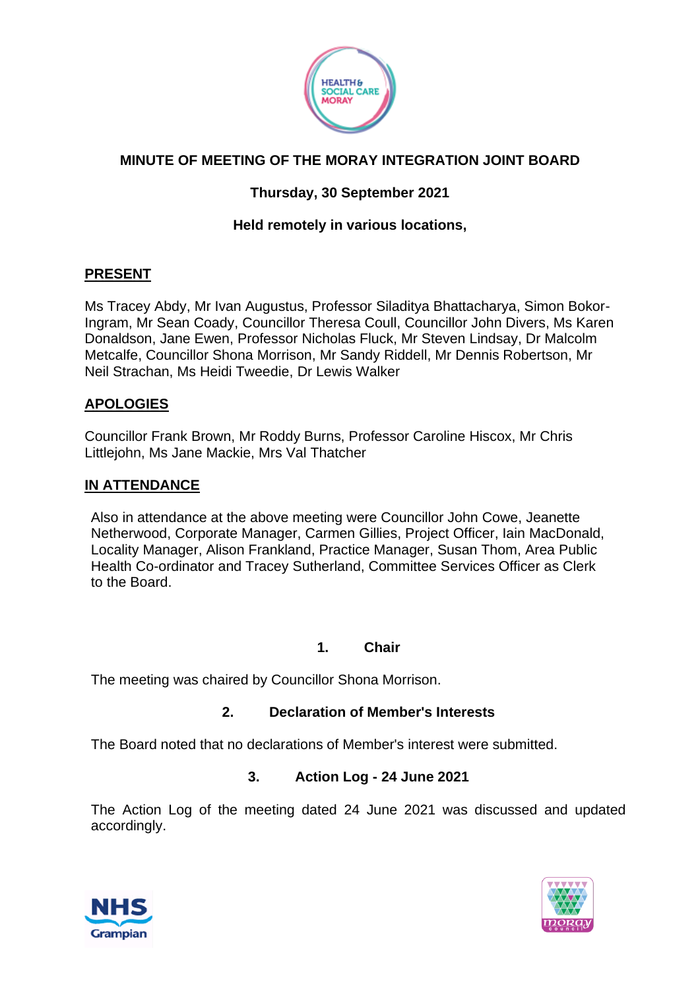

# **MINUTE OF MEETING OF THE MORAY INTEGRATION JOINT BOARD**

## **Thursday, 30 September 2021**

## **Held remotely in various locations,**

#### **PRESENT**

Ms Tracey Abdy, Mr Ivan Augustus, Professor Siladitya Bhattacharya, Simon Bokor-Ingram, Mr Sean Coady, Councillor Theresa Coull, Councillor John Divers, Ms Karen Donaldson, Jane Ewen, Professor Nicholas Fluck, Mr Steven Lindsay, Dr Malcolm Metcalfe, Councillor Shona Morrison, Mr Sandy Riddell, Mr Dennis Robertson, Mr Neil Strachan, Ms Heidi Tweedie, Dr Lewis Walker

#### **APOLOGIES**

Councillor Frank Brown, Mr Roddy Burns, Professor Caroline Hiscox, Mr Chris Littlejohn, Ms Jane Mackie, Mrs Val Thatcher

#### **IN ATTENDANCE**

Also in attendance at the above meeting were Councillor John Cowe, Jeanette Netherwood, Corporate Manager, Carmen Gillies, Project Officer, Iain MacDonald, Locality Manager, Alison Frankland, Practice Manager, Susan Thom, Area Public Health Co-ordinator and Tracey Sutherland, Committee Services Officer as Clerk to the Board.

#### **1. Chair**

The meeting was chaired by Councillor Shona Morrison.

#### **2. Declaration of Member's Interests**

The Board noted that no declarations of Member's interest were submitted.

#### **3. Action Log - 24 June 2021**

The Action Log of the meeting dated 24 June 2021 was discussed and updated accordingly.



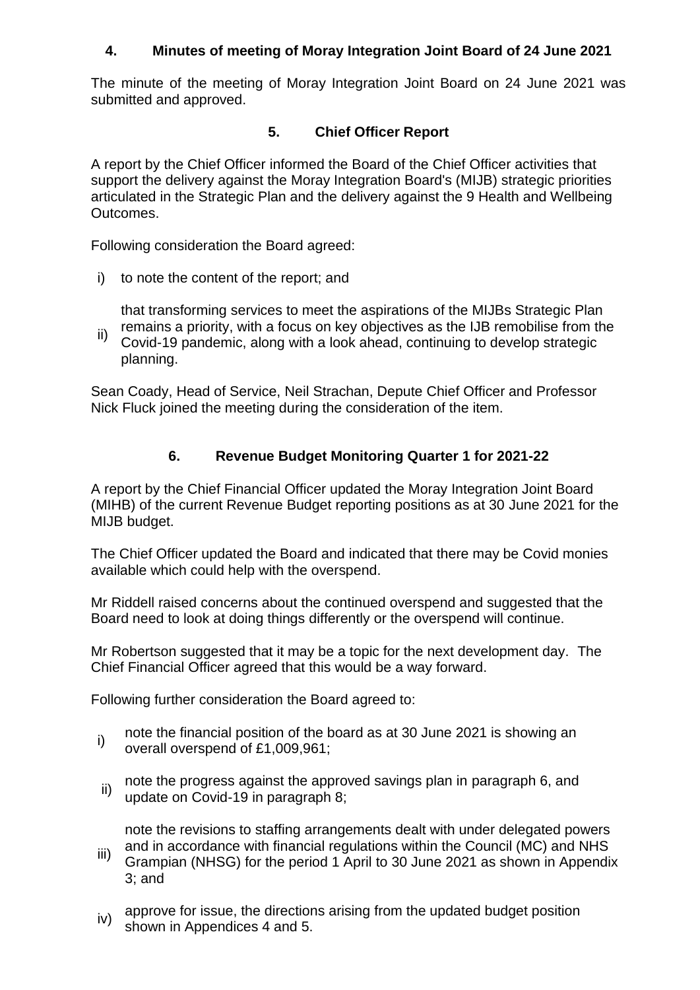### **4. Minutes of meeting of Moray Integration Joint Board of 24 June 2021**

The minute of the meeting of Moray Integration Joint Board on 24 June 2021 was submitted and approved.

#### **5. Chief Officer Report**

A report by the Chief Officer informed the Board of the Chief Officer activities that support the delivery against the Moray Integration Board's (MIJB) strategic priorities articulated in the Strategic Plan and the delivery against the 9 Health and Wellbeing Outcomes.

Following consideration the Board agreed:

i) to note the content of the report; and

that transforming services to meet the aspirations of the MIJBs Strategic Plan remains a priority, with a focus on key objectives as the IJB remobilise from the

ii) Covid-19 pandemic, along with a look ahead, continuing to develop strategic planning.

Sean Coady, Head of Service, Neil Strachan, Depute Chief Officer and Professor Nick Fluck joined the meeting during the consideration of the item.

### **6. Revenue Budget Monitoring Quarter 1 for 2021-22**

A report by the Chief Financial Officer updated the Moray Integration Joint Board (MIHB) of the current Revenue Budget reporting positions as at 30 June 2021 for the MIJB budget.

The Chief Officer updated the Board and indicated that there may be Covid monies available which could help with the overspend.

Mr Riddell raised concerns about the continued overspend and suggested that the Board need to look at doing things differently or the overspend will continue.

Mr Robertson suggested that it may be a topic for the next development day. The Chief Financial Officer agreed that this would be a way forward.

Following further consideration the Board agreed to:

- i) note the financial position of the board as at 30 June 2021 is showing an overall overspend of £1,009,961;
- ii) note the progress against the approved savings plan in paragraph 6, and update on Covid-19 in paragraph 8;

note the revisions to staffing arrangements dealt with under delegated powers and in accordance with financial regulations within the Council (MC) and NHS

- iii) Grampian (NHSG) for the period 1 April to 30 June 2021 as shown in Appendix 3; and
- iv) approve for issue, the directions arising from the updated budget position shown in Appendices 4 and 5.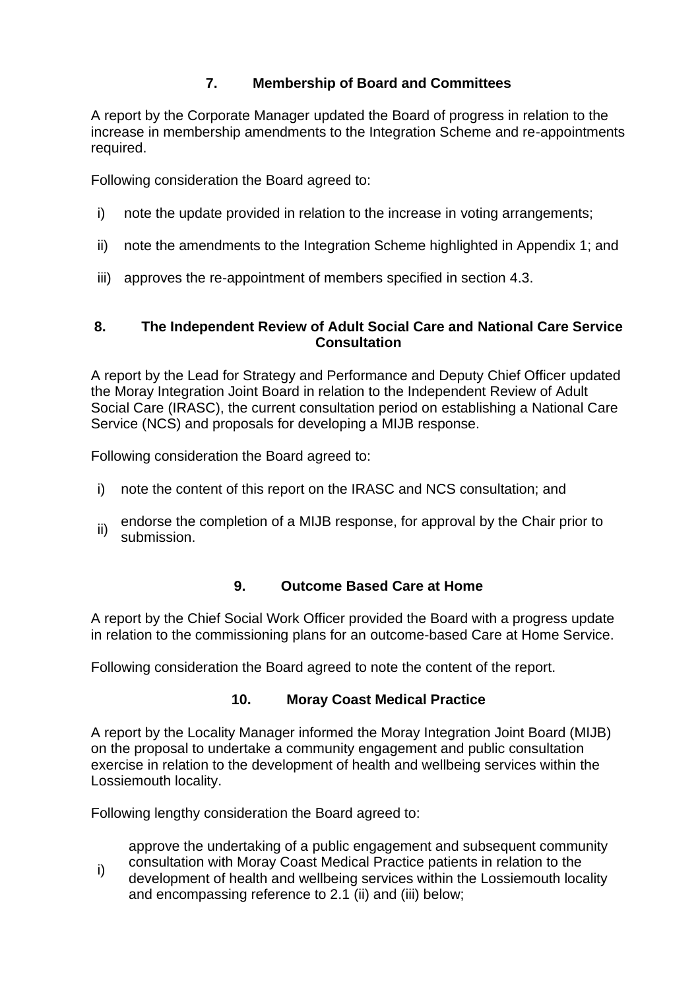## **7. Membership of Board and Committees**

A report by the Corporate Manager updated the Board of progress in relation to the increase in membership amendments to the Integration Scheme and re-appointments required.

Following consideration the Board agreed to:

- i) note the update provided in relation to the increase in voting arrangements;
- ii) note the amendments to the Integration Scheme highlighted in Appendix 1; and
- iii) approves the re-appointment of members specified in section 4.3.

#### **8. The Independent Review of Adult Social Care and National Care Service Consultation**

A report by the Lead for Strategy and Performance and Deputy Chief Officer updated the Moray Integration Joint Board in relation to the Independent Review of Adult Social Care (IRASC), the current consultation period on establishing a National Care Service (NCS) and proposals for developing a MIJB response.

Following consideration the Board agreed to:

- i) note the content of this report on the IRASC and NCS consultation; and
- ii) endorse the completion of a MIJB response, for approval by the Chair prior to submission.

#### **9. Outcome Based Care at Home**

A report by the Chief Social Work Officer provided the Board with a progress update in relation to the commissioning plans for an outcome-based Care at Home Service.

Following consideration the Board agreed to note the content of the report.

#### **10. Moray Coast Medical Practice**

A report by the Locality Manager informed the Moray Integration Joint Board (MIJB) on the proposal to undertake a community engagement and public consultation exercise in relation to the development of health and wellbeing services within the Lossiemouth locality.

Following lengthy consideration the Board agreed to:

approve the undertaking of a public engagement and subsequent community consultation with Moray Coast Medical Practice patients in relation to the

i) development of health and wellbeing services within the Lossiemouth locality and encompassing reference to 2.1 (ii) and (iii) below;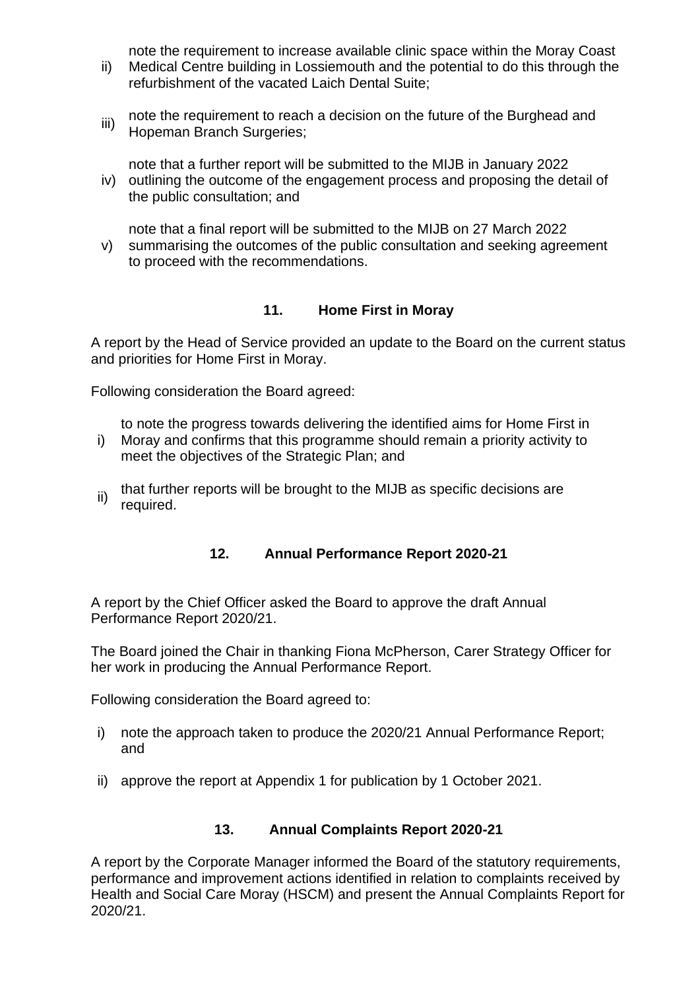note the requirement to increase available clinic space within the Moray Coast

- ii) Medical Centre building in Lossiemouth and the potential to do this through the refurbishment of the vacated Laich Dental Suite;
- iii) note the requirement to reach a decision on the future of the Burghead and Hopeman Branch Surgeries;

note that a further report will be submitted to the MIJB in January 2022

iv) outlining the outcome of the engagement process and proposing the detail of the public consultation; and

v) note that a final report will be submitted to the MIJB on 27 March 2022 summarising the outcomes of the public consultation and seeking agreement to proceed with the recommendations.

## **11. Home First in Moray**

A report by the Head of Service provided an update to the Board on the current status and priorities for Home First in Moray.

Following consideration the Board agreed:

to note the progress towards delivering the identified aims for Home First in

- i) Moray and confirms that this programme should remain a priority activity to meet the objectives of the Strategic Plan; and
- ii) that further reports will be brought to the MIJB as specific decisions are required.

### **12. Annual Performance Report 2020-21**

A report by the Chief Officer asked the Board to approve the draft Annual Performance Report 2020/21.

The Board joined the Chair in thanking Fiona McPherson, Carer Strategy Officer for her work in producing the Annual Performance Report.

Following consideration the Board agreed to:

- i) note the approach taken to produce the 2020/21 Annual Performance Report; and
- ii) approve the report at Appendix 1 for publication by 1 October 2021.

### **13. Annual Complaints Report 2020-21**

A report by the Corporate Manager informed the Board of the statutory requirements, performance and improvement actions identified in relation to complaints received by Health and Social Care Moray (HSCM) and present the Annual Complaints Report for 2020/21.